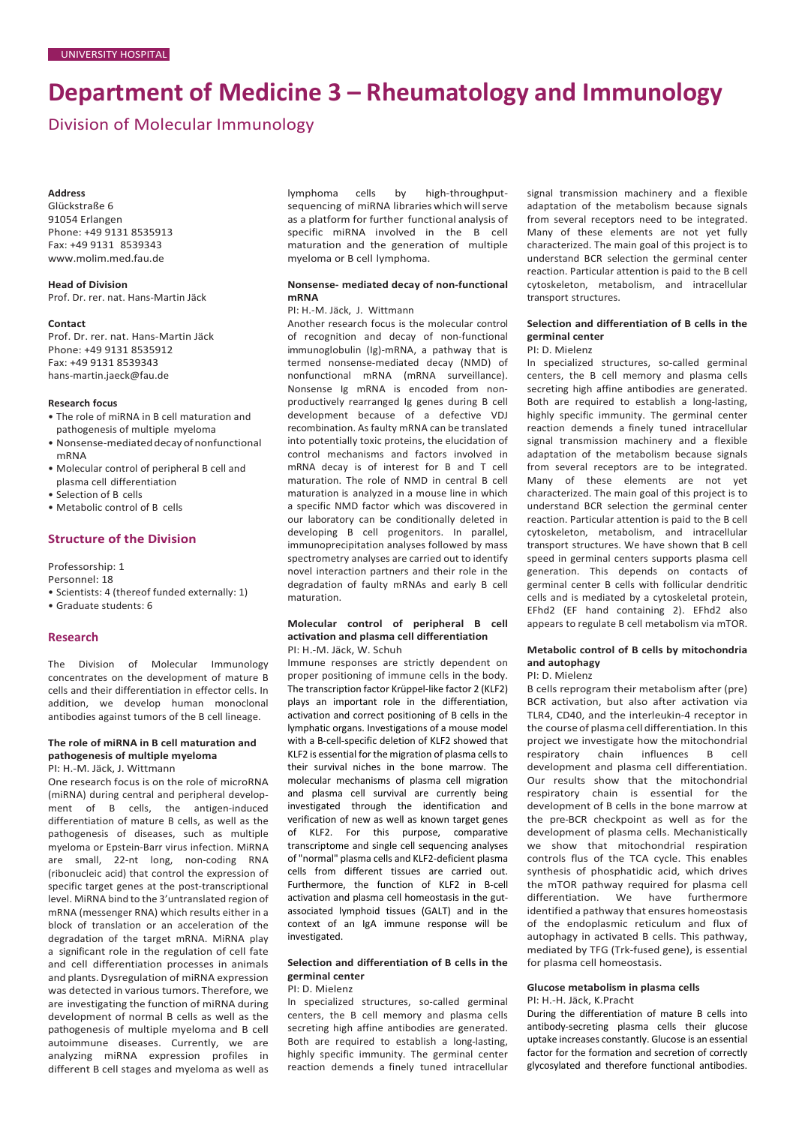# **Department of Medicine 3 – Rheumatology and Immunology**

Division of Molecular Immunology

#### **Address**

Glückstraße 6 91054 Erlangen Phone: +49 9131 8535913 Fax: +49 9131 8539343 [www.molim.med.fau.de](http://www.molim.med.fau.de/)

**Head of Division** Prof. Dr. rer. nat. Hans-Martin Jäck

#### **Contact**

Prof. Dr. rer. nat. Hans-Martin Jäck Phone: +49 9131 8535912 Fax: +49 9131 8539343 [hans-martin.jaeck@fau.de](mailto:hans-martin.jaeck@fau.de)

#### **Research focus**

- The role of miRNA in B cell maturation and pathogenesis of multiple myeloma
- Nonsense-mediated decay of nonfunctional mRNA
- Molecular control of peripheral B cell and plasma cell differentiation
- Selection of B cells
- Metabolic control of B cells

## **Structure of the Division**

Professorship: 1

Personnel: 18

- Scientists: 4 (thereof funded externally: 1)
- Graduate students: 6

## **Research**

The Division of Molecular Immunology concentrates on the development of mature B cells and their differentiation in effector cells. In addition, we develop human monoclonal antibodies against tumors of the B cell lineage.

# **The role of miRNA in B cell maturation and pathogenesis of multiple myeloma**

PI: H.-M. Jäck, J. Wittmann

One research focus is on the role of microRNA (miRNA) during central and peripheral development of B cells, the antigen-induced differentiation of mature B cells, as well as the pathogenesis of diseases, such as multiple myeloma or Epstein-Barr virus infection. MiRNA are small, 22-nt long, non-coding RNA (ribonucleic acid) that control the expression of specific target genes at the post-transcriptional level. MiRNA bind to the 3'untranslated region of mRNA (messenger RNA) which results either in a block of translation or an acceleration of the degradation of the target mRNA. MiRNA play a significant role in the regulation of cell fate and cell differentiation processes in animals and plants. Dysregulation of miRNA expression was detected in various tumors. Therefore, we are investigating the function of miRNA during development of normal B cells as well as the pathogenesis of multiple myeloma and B cell autoimmune diseases. Currently, we are analyzing miRNA expression profiles in different B cell stages and myeloma as well as lymphoma cells by high-throughputsequencing of miRNA libraries which will serve as a platform for further functional analysis of specific miRNA involved in the B cell maturation and the generation of multiple myeloma or B cell lymphoma.

## **Nonsense- mediated decay of non-functional mRNA**

## PI: H.-M. Jäck, J. Wittmann

Another research focus is the molecular control of recognition and decay of non-functional immunoglobulin (Ig)-mRNA, a pathway that is termed nonsense-mediated decay (NMD) of nonfunctional mRNA (mRNA surveillance). Nonsense Ig mRNA is encoded from nonproductively rearranged Ig genes during B cell development because of a defective VDJ recombination. As faulty mRNA can be translated into potentially toxic proteins, the elucidation of control mechanisms and factors involved in mRNA decay is of interest for B and T cell maturation. The role of NMD in central B cell maturation is analyzed in a mouse line in which a specific NMD factor which was discovered in our laboratory can be conditionally deleted in developing B cell progenitors. In parallel, immunoprecipitation analyses followed by mass spectrometry analyses are carried out to identify novel interaction partners and their role in the degradation of faulty mRNAs and early B cell maturation.

### **Molecular control of peripheral B cell activation and plasma cell differentiation** PI: H.-M. Jäck, W. Schuh

Immune responses are strictly dependent on proper positioning of immune cells in the body. The transcription factor Krüppel-like factor 2 (KLF2) plays an important role in the differentiation, activation and correct positioning of B cells in the lymphatic organs. Investigations of a mouse model with a B-cell-specific deletion of KLF2 showed that KLF2 is essential for the migration of plasma cells to their survival niches in the bone marrow. The molecular mechanisms of plasma cell migration and plasma cell survival are currently being investigated through the identification and verification of new as well as known target genes of KLF2. For this purpose, comparative transcriptome and single cell sequencing analyses of "normal" plasma cells and KLF2-deficient plasma cells from different tissues are carried out. Furthermore, the function of KLF2 in B-cell activation and plasma cell homeostasis in the gutassociated lymphoid tissues (GALT) and in the context of an IgA immune response will be investigated.

## **Selection and differentiation of B cells in the germinal center**

PI: D. Mielenz

In specialized structures, so-called germinal centers, the B cell memory and plasma cells secreting high affine antibodies are generated. Both are required to establish a long-lasting, highly specific immunity. The germinal center reaction demends a finely tuned intracellular

signal transmission machinery and a flexible adaptation of the metabolism because signals from several receptors need to be integrated. Many of these elements are not yet fully characterized. The main goal of this project is to understand BCR selection the germinal center reaction. Particular attention is paid to the B cell cytoskeleton, metabolism, and intracellular transport structures.

## **Selection and differentiation of B cells in the germinal center**

#### PI: D. Mielenz

In specialized structures, so-called germinal centers, the B cell memory and plasma cells secreting high affine antibodies are generated. Both are required to establish a long-lasting, highly specific immunity. The germinal center reaction demends a finely tuned intracellular signal transmission machinery and a flexible adaptation of the metabolism because signals from several receptors are to be integrated. Many of these elements are not yet characterized. The main goal of this project is to understand BCR selection the germinal center reaction. Particular attention is paid to the B cell cytoskeleton, metabolism, and intracellular transport structures. We have shown that B cell speed in germinal centers supports plasma cell generation. This depends on contacts of germinal center B cells with follicular dendritic cells and is mediated by a cytoskeletal protein, EFhd2 (EF hand containing 2). EFhd2 also appears to regulate B cell metabolism via mTOR.

# **Metabolic control of B cells by mitochondria and autophagy**

PI: D. Mielenz

B cells reprogram their metabolism after (pre) BCR activation, but also after activation via TLR4, CD40, and the interleukin-4 receptor in the course of plasma cell differentiation. In this project we investigate how the mitochondrial respiratory chain influences B cell development and plasma cell differentiation. Our results show that the mitochondrial respiratory chain is essential for the development of B cells in the bone marrow at the pre-BCR checkpoint as well as for the development of plasma cells. Mechanistically we show that mitochondrial respiration controls flus of the TCA cycle. This enables synthesis of phosphatidic acid, which drives the mTOR pathway required for plasma cell differentiation. We have furthermore identified a pathway that ensures homeostasis of the endoplasmic reticulum and flux of autophagy in activated B cells. This pathway, mediated by TFG (Trk-fused gene), is essential for plasma cell homeostasis.

## **Glucose metabolism in plasma cells** PI: H.-H. Jäck, K.Pracht

During the differentiation of mature B cells into antibody-secreting plasma cells their glucose uptake increases constantly. Glucose is an essential factor for the formation and secretion of correctly glycosylated and therefore functional antibodies.